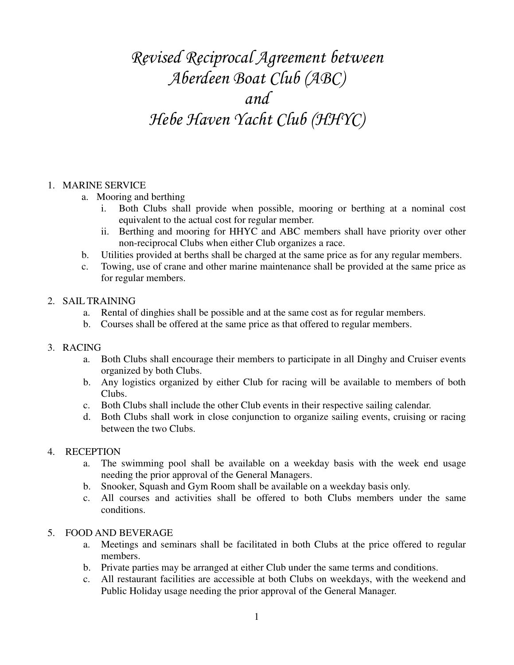# *Revised Reciprocal Agreement between Aberdeen Boat Club (ABC) and Hebe Haven Yacht Club (HHYC)*

### 1. MARINE SERVICE

- a. Mooring and berthing
	- i. Both Clubs shall provide when possible, mooring or berthing at a nominal cost equivalent to the actual cost for regular member.
	- ii. Berthing and mooring for HHYC and ABC members shall have priority over other non-reciprocal Clubs when either Club organizes a race.
- b. Utilities provided at berths shall be charged at the same price as for any regular members.
- c. Towing, use of crane and other marine maintenance shall be provided at the same price as for regular members.

#### 2. SAIL TRAINING

- a. Rental of dinghies shall be possible and at the same cost as for regular members.
- b. Courses shall be offered at the same price as that offered to regular members.

### 3. RACING

- a. Both Clubs shall encourage their members to participate in all Dinghy and Cruiser events organized by both Clubs.
- b. Any logistics organized by either Club for racing will be available to members of both Clubs.
- c. Both Clubs shall include the other Club events in their respective sailing calendar.
- d. Both Clubs shall work in close conjunction to organize sailing events, cruising or racing between the two Clubs.

### 4. RECEPTION

- a. The swimming pool shall be available on a weekday basis with the week end usage needing the prior approval of the General Managers.
- b. Snooker, Squash and Gym Room shall be available on a weekday basis only.
- c. All courses and activities shall be offered to both Clubs members under the same conditions.

### 5. FOOD AND BEVERAGE

- a. Meetings and seminars shall be facilitated in both Clubs at the price offered to regular members.
- b. Private parties may be arranged at either Club under the same terms and conditions.
- c. All restaurant facilities are accessible at both Clubs on weekdays, with the weekend and Public Holiday usage needing the prior approval of the General Manager.